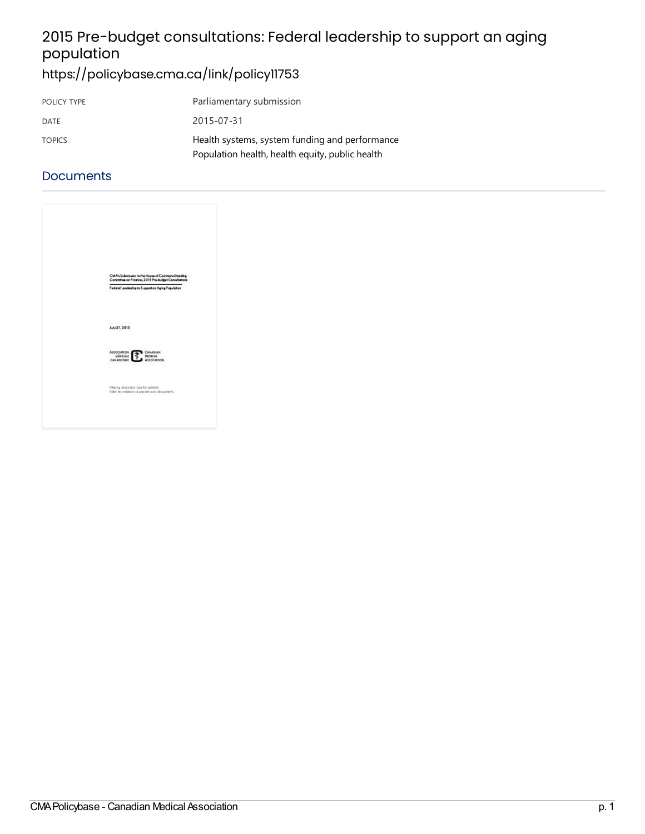## 2015 Pre-budget consultations: Federal leadership to support an aging population

## <https://policybase.cma.ca/link/policy11753>

| POLICY TYPE   | Parliamentary submission                        |
|---------------|-------------------------------------------------|
| DATE          | 2015-07-31                                      |
| <b>TOPICS</b> | Health systems, system funding and performance  |
|               | Population health, health equity, public health |

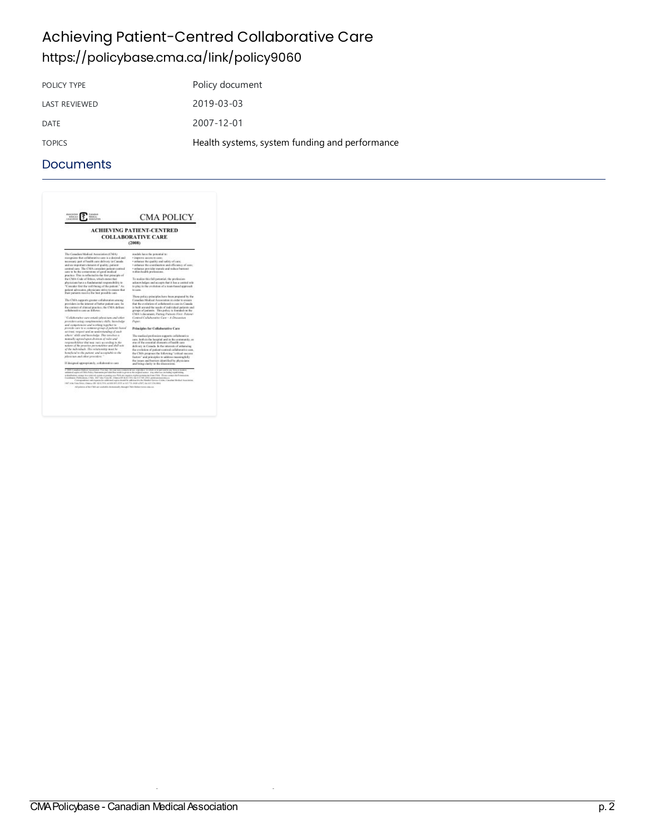## Achieving Patient-Centred Collaborative Care <https://policybase.cma.ca/link/policy9060>

| POLICY TYPE          | Policy document                                |
|----------------------|------------------------------------------------|
| <b>LAST REVIEWED</b> | 2019-03-03                                     |
| DATE                 | 2007-12-01                                     |
| <b>TOPICS</b>        | Health systems, system funding and performance |

| <b>ABOGKBOO</b><br><b>WEIGHT</b><br><b>MENGEE</b><br>Millet's L<br>CROCERINE<br>ERVITE                                                                                                                                                                                                                                                                                                                                                                                                                                                                                                                                                                                                                               | <b>CMA POLICY</b>                                                                                                                                                                                                                                                                                                                                                                                                                |
|----------------------------------------------------------------------------------------------------------------------------------------------------------------------------------------------------------------------------------------------------------------------------------------------------------------------------------------------------------------------------------------------------------------------------------------------------------------------------------------------------------------------------------------------------------------------------------------------------------------------------------------------------------------------------------------------------------------------|----------------------------------------------------------------------------------------------------------------------------------------------------------------------------------------------------------------------------------------------------------------------------------------------------------------------------------------------------------------------------------------------------------------------------------|
| <b>ACHIEVING PATIENT-CENTRED</b><br><b>COLLABORATIVE CARE</b><br>(2008)                                                                                                                                                                                                                                                                                                                                                                                                                                                                                                                                                                                                                                              |                                                                                                                                                                                                                                                                                                                                                                                                                                  |
| The Canadian Medical Association (CMA)<br>East kerinds a at awa evitariallice tale sedimpour<br>necessars past affhealth care delivory in Canada.<br>and an important element of guality, patient-<br>centred care. The CMA considers auticut-centred<br>care to be the compressione of good medical<br>mactice. This is reflected in the first minolate of<br>the CMA Code of Sthies, which states that<br>shoricians have a fundamental responsibility to<br>"Consider first the well-being of the patient." As<br>patient advecator, physicians strive to ensure that<br>their patients more to the best possible care.                                                                                           | inadels have the potential to:<br>· impaced incost to date:<br>· relative the quality and safety of cars.<br>· reduces the coordination and efficiency of case; i<br>residence were lets signing where were sumpler-<br>within bookly preferoions.<br>To make this full petential, the preference<br>advaces believe and accurets that it has a counted sole.<br>to play in the exolution of a team-based appressib-<br>to case. |
| The CMA supports greater collaboration attenties<br>previders in the interest of better policit care. In<br>the containt of clinical practice, the CMA defines.<br>collaborative care as follows:                                                                                                                                                                                                                                                                                                                                                                                                                                                                                                                    | These policy paintiplies have been prepared by the<br>Canadian Modical Association in order to means<br>that the evolution of collaborative case in Canada.<br>is basic strainer landinialized bo slower infi later the risk of<br>proups of patients. This policy is founded on the<br>CMA's decapates, Pactors Patients First: Jokiens's                                                                                       |
| "Colisboration care estatic advantant and other-<br>reception arise cumplementary dalla, incededer-<br>and competencies and working terreber to                                                                                                                                                                                                                                                                                                                                                                                                                                                                                                                                                                      | Control Cubalconties Case - A Discussion<br>Paner.                                                                                                                                                                                                                                                                                                                                                                               |
| provide care to a summar group of patients hand<br>han by estampted as a secret reserve asset as                                                                                                                                                                                                                                                                                                                                                                                                                                                                                                                                                                                                                     | Principles for Collaborative Care                                                                                                                                                                                                                                                                                                                                                                                                |
| ation' skils and involvey. The involves a<br>Sea video lo, acerdo non destroy of sales and<br>restorated different blut more many according to Alar-<br>where of the province personalities and skill sets<br>of the individuals. The relationship must be<br>kone/kein/ in the matters: and acceptable in the<br>admission and other projection."                                                                                                                                                                                                                                                                                                                                                                   | The medical profession supports cultaborative<br>care, both in the horsend and in the contenunity, as<br>me of the associal elements of health care<br>delivery in Canada. In the interests of reitoricing<br>the cyrelation of pulcat-centred cellaborative case.<br>the CMA progress the following "critical success.<br>factors" and oriestodes to address meaningfully.                                                      |
| If designed appropriately, collaborative care                                                                                                                                                                                                                                                                                                                                                                                                                                                                                                                                                                                                                                                                        | the issuer and beginn identified by abroicians.<br>and bring clarity to the disconstions.                                                                                                                                                                                                                                                                                                                                        |
| C 2001 Catalize Halled Secondates. You say, his year announced suc, reproduce it while as in percent is only been a materia<br>entimized aspira of CMA Policy Natewean prevailed that and/o is given as the original exists a . Any other was including sopul/initiate,<br>estudiodos, tempo ina entre a centra españa para ficie en septen replici presistan con Chia. Please censos da Presistent<br>Combinery Publications CMA, 1967-Max Unsello, Onesta DN CAS UPA, En 811 Od. 2013, pami atoms) process<br>1487 A.M. Vian Drive, Onersa (84) \$2.61 PVs, winner \$11,2410 at \$21.700 AASH (2007) Go \$12 216 AMA.<br>All milities of the CMA are confultion instrumently through CMA (indicate recognization). | Currentman and requires for additional aspire denial by address this day Steeley Green, Canadan Mexical Association.                                                                                                                                                                                                                                                                                                             |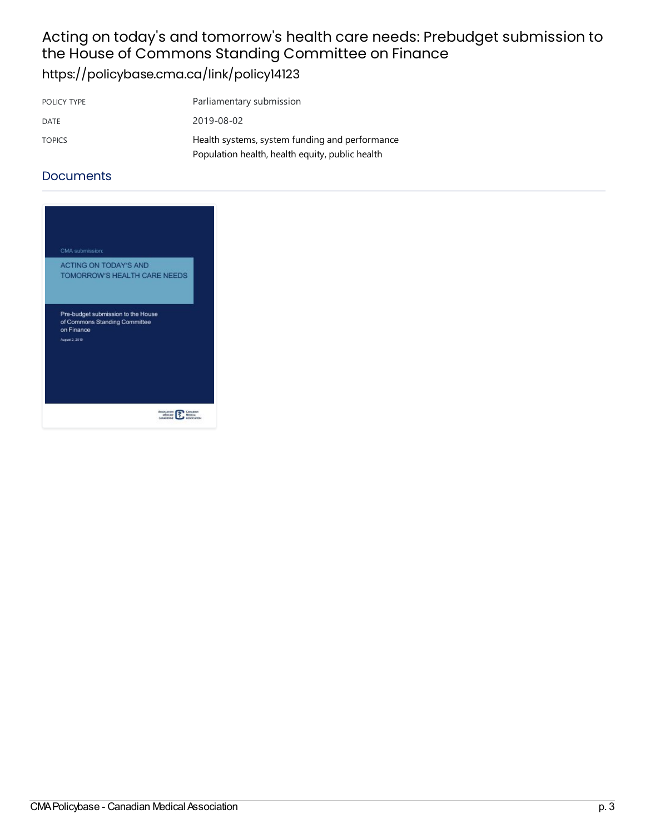# Acting on today's and tomorrow's health care needs: Prebudget submission to the House of Commons Standing Committee on Finance

<https://policybase.cma.ca/link/policy14123>

| POLICY TYPE   | Parliamentary submission                        |
|---------------|-------------------------------------------------|
| DATE          | 2019-08-02                                      |
| <b>TOPICS</b> | Health systems, system funding and performance  |
|               | Population health, health equity, public health |

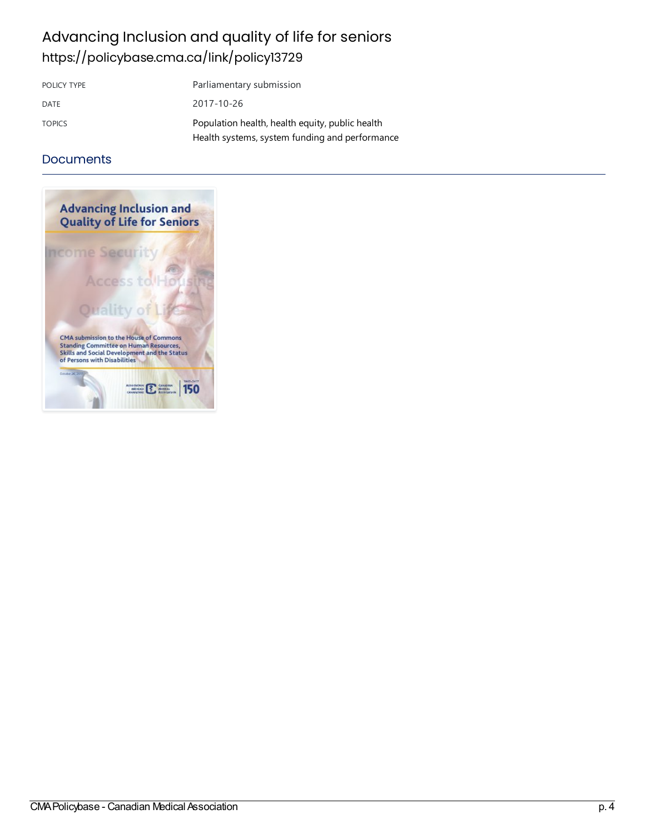### Advancing Inclusion and quality of life for seniors <https://policybase.cma.ca/link/policy13729>

| POLICY TYPE   | Parliamentary submission                                                                          |
|---------------|---------------------------------------------------------------------------------------------------|
| DATE          | 2017-10-26                                                                                        |
| <b>TOPICS</b> | Population health, health equity, public health<br>Health systems, system funding and performance |

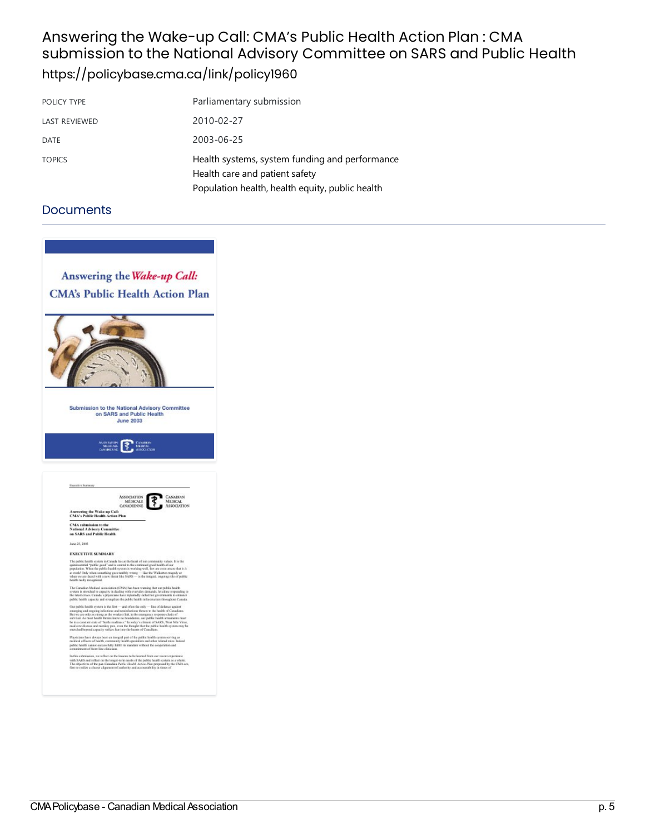### Answering the Wake-up Call: CMA's Public Health Action Plan: CMA submission to the National Advisory Committee on SARS and Public Health <https://policybase.cma.ca/link/policy1960>

| POLICY TYPE          | Parliamentary submission                                                         |
|----------------------|----------------------------------------------------------------------------------|
| <b>LAST REVIEWED</b> | 2010-02-27                                                                       |
| <b>DATE</b>          | 2003-06-25                                                                       |
| <b>TOPICS</b>        | Health systems, system funding and performance<br>Health care and patient safety |
|                      | Population health, health equity, public health                                  |

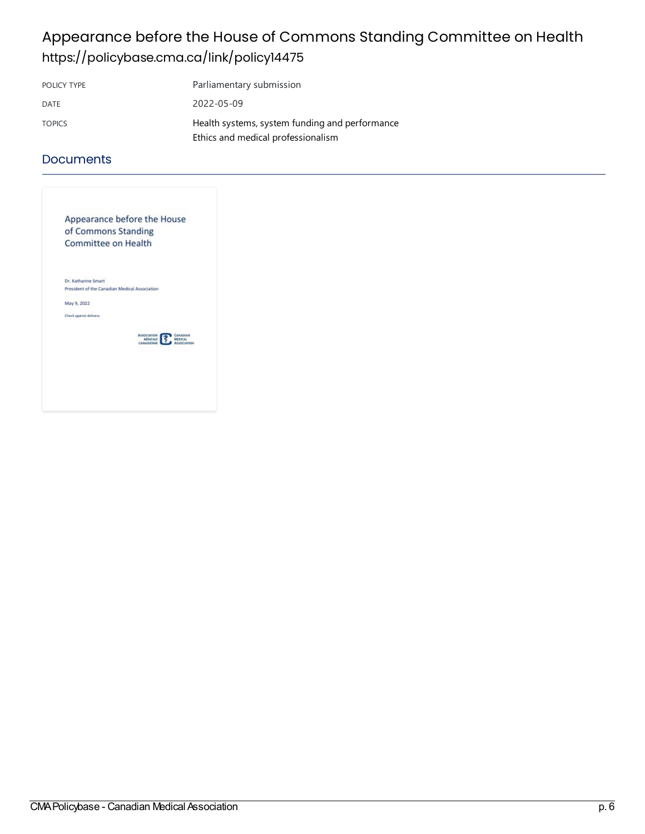### Appearance before the House of Commons Standing Committee on Health <https://policybase.cma.ca/link/policy14475>

| POLICY TYPE   | Parliamentary submission                       |
|---------------|------------------------------------------------|
| DATE          | 2022-05-09                                     |
| <b>TOPICS</b> | Health systems, system funding and performance |
|               | Ethics and medical professionalism             |

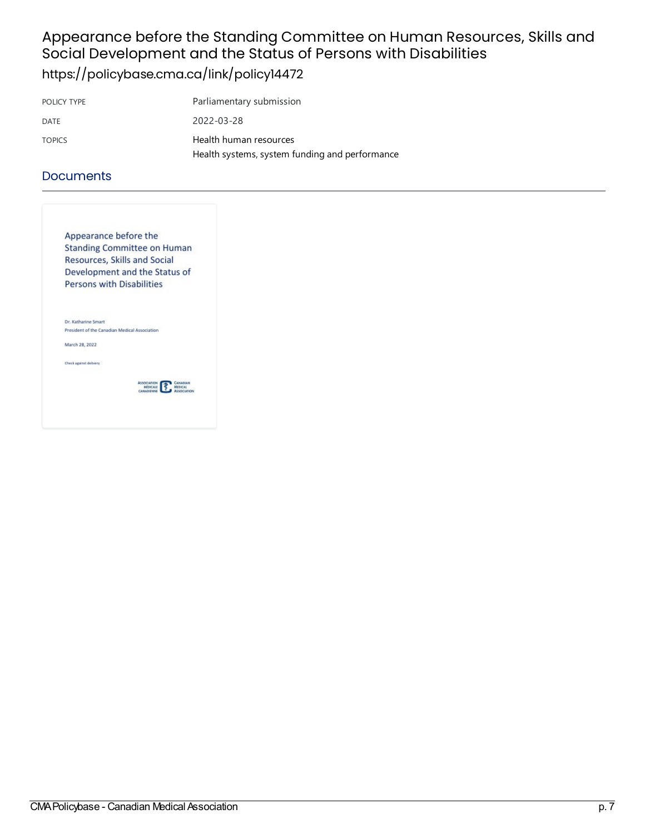# Appearance before the Standing Committee on Human Resources, Skills and Social Development and the Status of Persons with Disabilities

<https://policybase.cma.ca/link/policy14472>

| POLICY TYPE   | Parliamentary submission                       |
|---------------|------------------------------------------------|
| DATE          | 2022-03-28                                     |
| <b>TOPICS</b> | Health human resources                         |
|               | Health systems, system funding and performance |

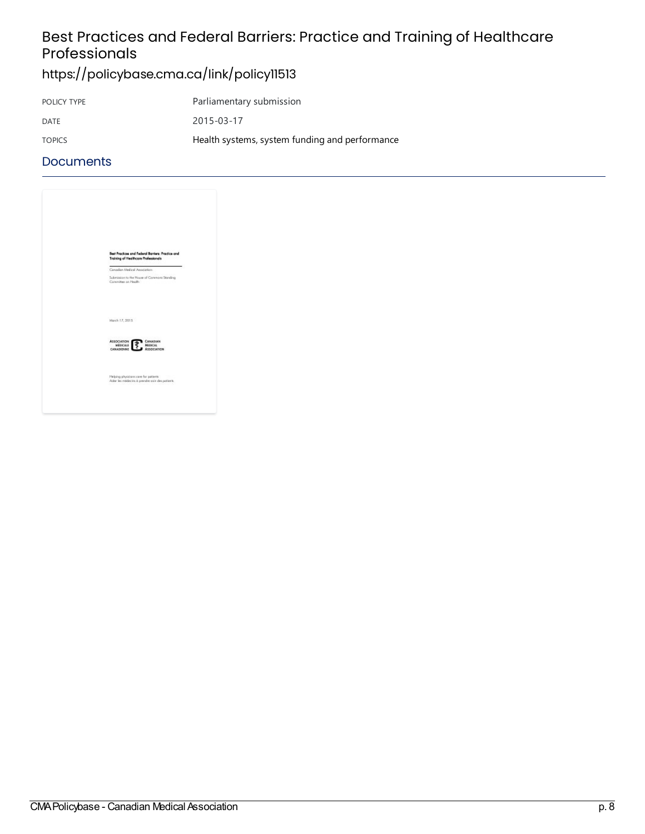## Best Practices and Federal Barriers: Practice and Training of Healthcare Professionals

<https://policybase.cma.ca/link/policy11513>

| POLICY TYPE   | Parliamentary submission                       |
|---------------|------------------------------------------------|
| DATE          | 2015-03-17                                     |
| <b>TOPICS</b> | Health systems, system funding and performance |

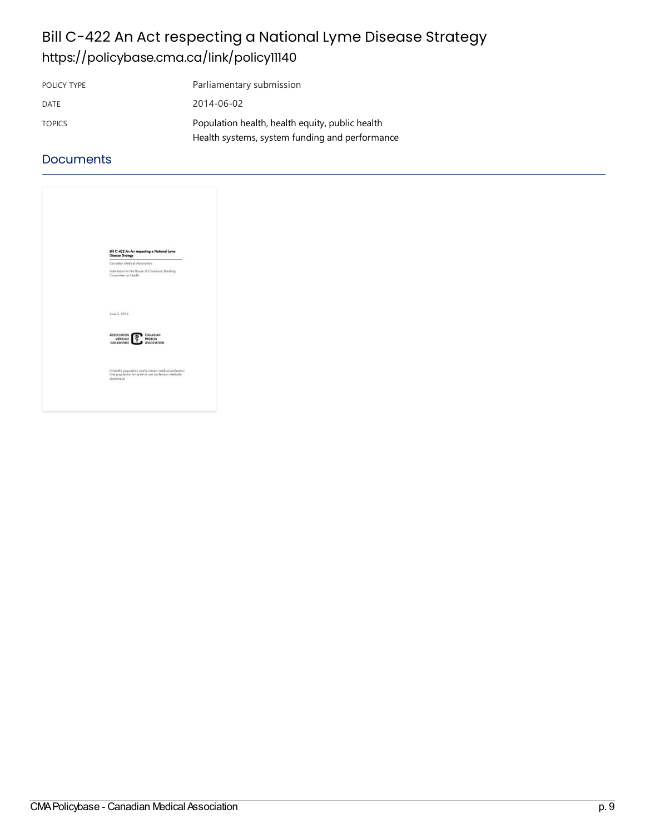## Bill C-422 An Act respecting a National Lyme Disease Strategy <https://policybase.cma.ca/link/policy11140>

| POLICY TYPE   | Parliamentary submission                        |
|---------------|-------------------------------------------------|
| DATE          | 2014-06-02                                      |
| <b>TOPICS</b> | Population health, health equity, public health |
|               | Health systems, system funding and performance  |

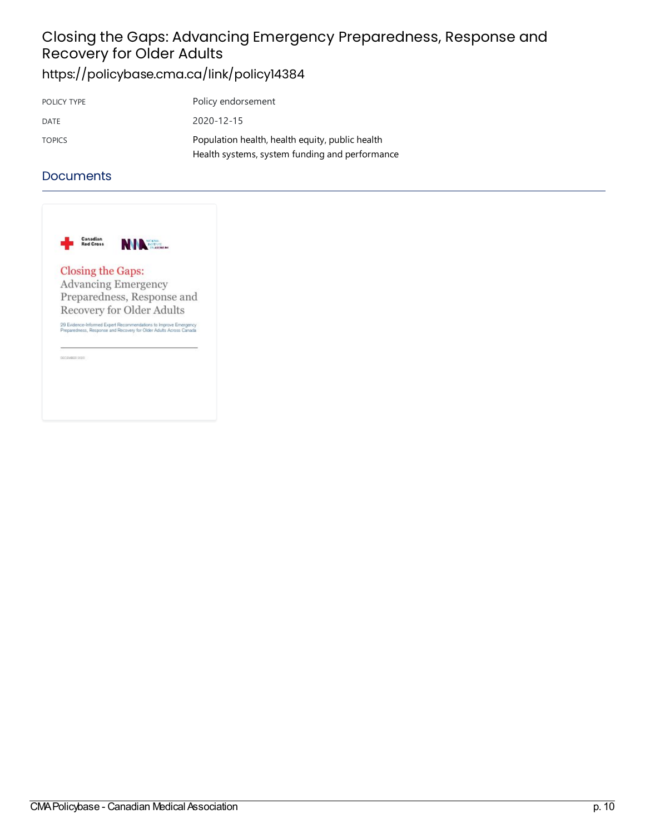### Closing the Gaps: Advancing Emergency Preparedness, Response and Recovery for Older Adults <https://policybase.cma.ca/link/policy14384>

| POLICY TYPE   | Policy endorsement                                                                                |
|---------------|---------------------------------------------------------------------------------------------------|
| DATE          | 2020-12-15                                                                                        |
| <b>TOPICS</b> | Population health, health equity, public health<br>Health systems, system funding and performance |

#### **Documents**



#### Closing the Gaps: **Advancing Emergency** Preparedness, Response and Recovery for Older Adults

29 Evidence-Informed Expert Recommendations to Improve Emergency<br>Preparedness, Response and Recovery for Older Adults Across Canada

DECEMBER 2020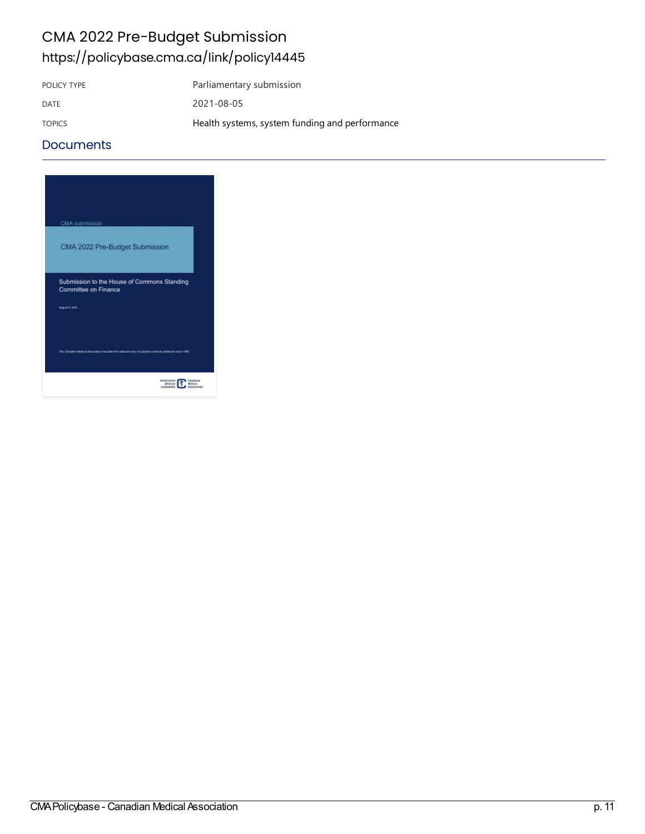### CMA 2022 Pre-Budget Submission <https://policybase.cma.ca/link/policy14445>

POLICY TYPE Parliamentary submission DATE 2021-08-05 TOPICS Health systems, system funding and [performance](https://policybase.cma.ca/list?q=topic%253A%2522Health%20systems,%20system%20funding%20and%20performance%2522&p=1&ps=&sort=title_sort%20asc)

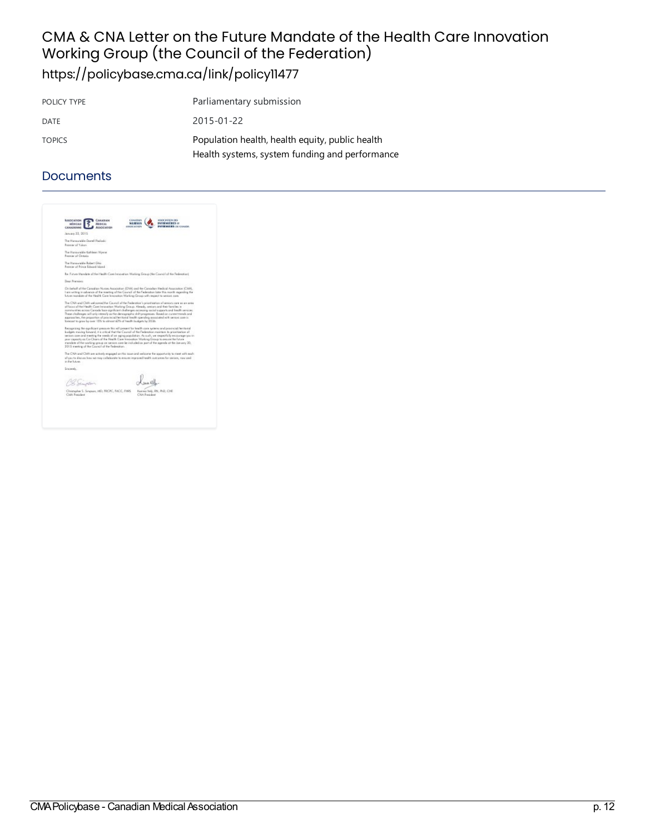# CMA & CNA Letter on the Future Mandate of the Health Care Innovation Working Group (the Council of the Federation)

<https://policybase.cma.ca/link/policy11477>

| POLICY TYPE   | Parliamentary submission                                                                          |
|---------------|---------------------------------------------------------------------------------------------------|
| DATE          | 2015-01-22                                                                                        |
| <b>TOPICS</b> | Population health, health equity, public health<br>Health systems, system funding and performance |

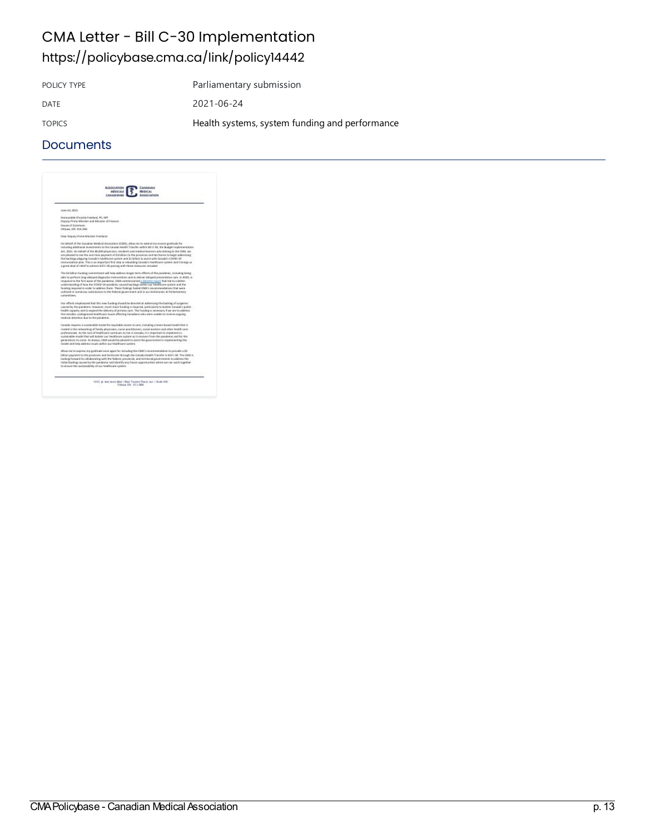### CMALetter-Bill C-30Implementation <https://policybase.cma.ca/link/policy14442>

POLICY TYPE Parliamentary submission

DATE 2021-06-24

TOPICS Health systems, system funding and [performance](https://policybase.cma.ca/list?q=topic%253A%2522Health%20systems,%20system%20funding%20and%20performance%2522&p=1&ps=&sort=title_sort%20asc)

| Autor 2.6, 2821<br>Hanaurable-Chrystia Freeland, PC, NF<br>Deputy Prime Minister and Minister of Fissece                                                                                                                                                                                                                                                                                                                                                                                                                                              |  |
|-------------------------------------------------------------------------------------------------------------------------------------------------------------------------------------------------------------------------------------------------------------------------------------------------------------------------------------------------------------------------------------------------------------------------------------------------------------------------------------------------------------------------------------------------------|--|
|                                                                                                                                                                                                                                                                                                                                                                                                                                                                                                                                                       |  |
|                                                                                                                                                                                                                                                                                                                                                                                                                                                                                                                                                       |  |
| House of Commons                                                                                                                                                                                                                                                                                                                                                                                                                                                                                                                                      |  |
| Officers, DN 618-DRG                                                                                                                                                                                                                                                                                                                                                                                                                                                                                                                                  |  |
| Daw Deputy Prime Minister Freebruit                                                                                                                                                                                                                                                                                                                                                                                                                                                                                                                   |  |
| On Seltaif of the Canadian Medical Accoration (CMA), allow rents extend my cincere gratitude for                                                                                                                                                                                                                                                                                                                                                                                                                                                      |  |
| including additional investments to the Canada Health Transfer within \$810-80, the Budget Implementation<br>Act, 2021. On behalf of the 80.500 physicians, neplately, and enabled learners who belong to the CMA, we                                                                                                                                                                                                                                                                                                                                 |  |
| are pleased to use the one-time gayment of \$4 billion to the provinces and tenritories to begin addressing                                                                                                                                                                                                                                                                                                                                                                                                                                           |  |
| the backlops plaguing Casada's healthcare outsen and \$1 billion to applit with Canada's CDVID-39                                                                                                                                                                                                                                                                                                                                                                                                                                                     |  |
| immunication plan. This is an important first step in rebuilding Canada's healthcare custom and it brings us.                                                                                                                                                                                                                                                                                                                                                                                                                                         |  |
| a great deal of relief to witness bill C-30 gassing with these measures industed.                                                                                                                                                                                                                                                                                                                                                                                                                                                                     |  |
| The Sit billion funding commitment will help address longer term effects of the panifereic, including being                                                                                                                                                                                                                                                                                                                                                                                                                                           |  |
| able to porform lang-delayed diage actic interventions and to deliver delayed preventative care. In 2030, in<br>response to the first economic fibe pondemic. CMR contributioned a betaltie report that led to a better<br>understanding of how the COVID-19 gandereic caused backlags within our healthcare organs and the<br>funding required in ender to address them. These findings fueled CMX's recommendations that were<br>cuttined in numerous submissions to the federal psyemment and in our testimanies at Parliamentary<br>continizzare. |  |
| Our effects emphasized that this eye funding should be directed at addressing the backlap of queswire:<br>caused by the pandemic However, much more funding is required, particularly to bold ar Canada's public.<br>health capacity and to expand the delivery of primary rare. This funding is necessary if we are to address<br>the insiglie, undagressel healthcare issues affecting Canadam who were unable to receive origoing<br>rendical attention due to the pandemic.                                                                       |  |
| Canada seguines a quictainable model for equitable access to case, including a team-based model flust is                                                                                                                                                                                                                                                                                                                                                                                                                                              |  |
| routed in the networking of family physicians, nurse practitioners, social workers and other health case.<br>orgfessionals. As the cast of healthcare continues to rise in Canada, it is important to implement a<br>outbingble stadel that will bolder our healthcare cyttem as it recovers from the pandemic and for the<br>gwwyzions to come. At always, CMA would be pleased to assist the government in implementing this<br>recipit and help address issues address has healthcate system.                                                      |  |
| Allow me to express my graditude cess again for including the CMA's recommendation to provide a \$6                                                                                                                                                                                                                                                                                                                                                                                                                                                   |  |
| billion payment to the provinces and territories through the Casada Health financial in bill C-kb. The CMA is<br>looking forward to collaborating with the federal, provincial, and territorial governments to address the<br>initial backlog caused by the pandemic and identify any future opportunities where we can work together<br>to ensure the sustainability of our healthcare system.                                                                                                                                                       |  |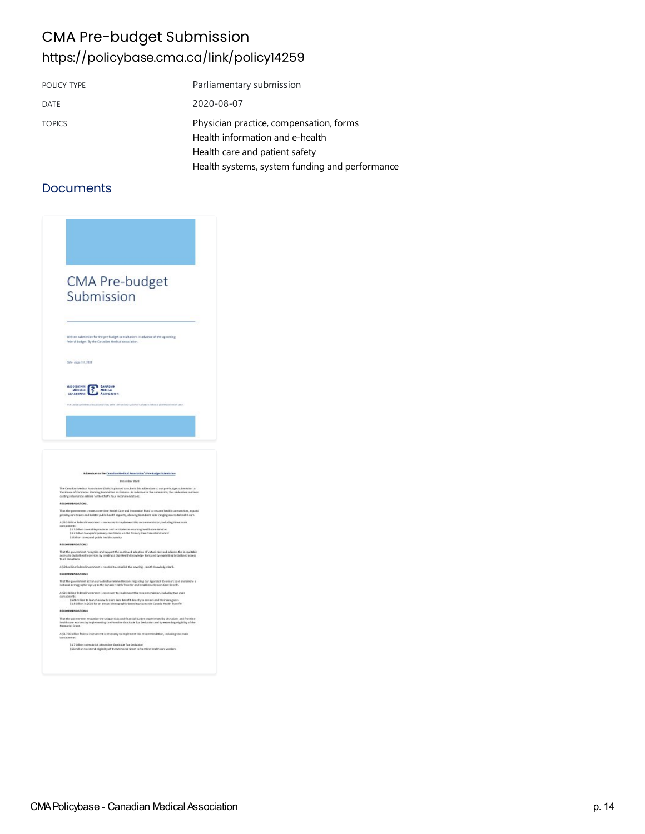### CMA Pre-budget Submission <https://policybase.cma.ca/link/policy14259>

| POLICY TYPE   | Parliamentary submission                                                                                     |
|---------------|--------------------------------------------------------------------------------------------------------------|
| <b>DATE</b>   | 2020-08-07                                                                                                   |
| <b>TOPICS</b> | Physician practice, compensation, forms<br>Health information and e-health<br>Health care and patient safety |
|               | Health systems, system funding and performance                                                               |

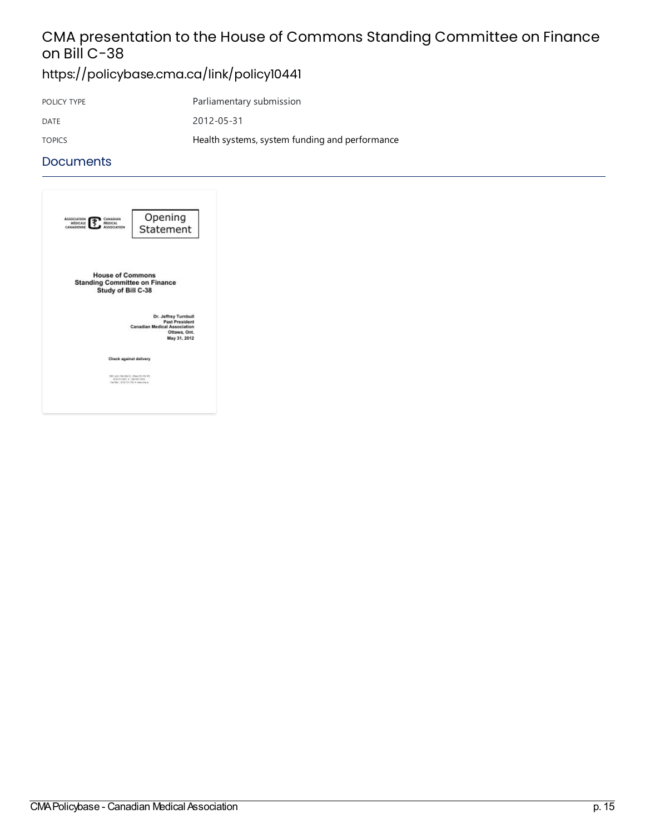### CMA presentation to the House of Commons Standing Committee on Finance on Bill C-38

### <https://policybase.cma.ca/link/policy10441>

POLICY TYPE **PARTIA** Parliamentary submission DATE 2012-05-31 TOPICS Health systems, system funding and [performance](https://policybase.cma.ca/list?q=topic%253A%2522Health%20systems,%20system%20funding%20and%20performance%2522&p=1&ps=&sort=title_sort%20asc)

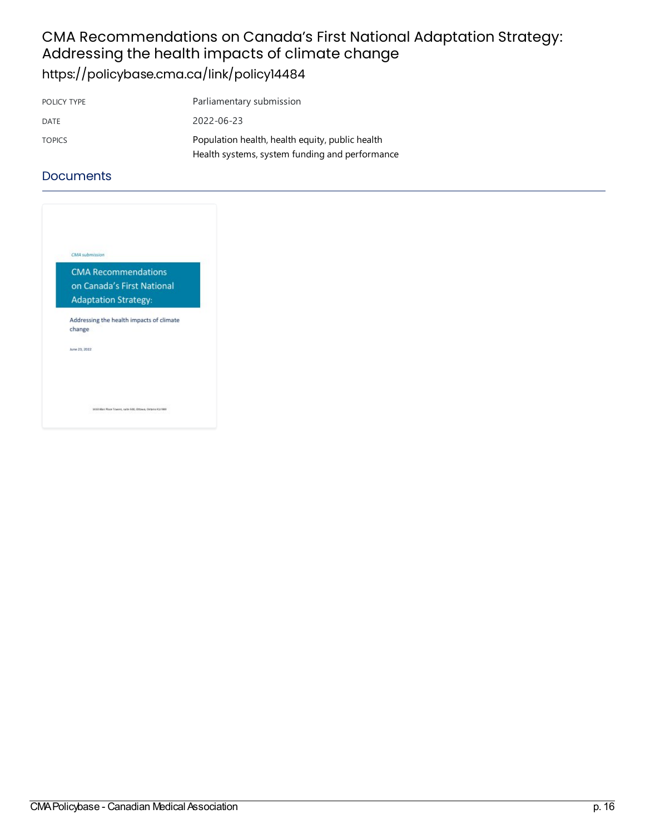### CMA Recommendations on Canada's First National Adaptation Strategy: Addressing the health impacts of climate change <https://policybase.cma.ca/link/policy14484>

| POLICY TYPE   | Parliamentary submission                                                                          |
|---------------|---------------------------------------------------------------------------------------------------|
| DATE          | 2022-06-23                                                                                        |
| <b>TOPICS</b> | Population health, health equity, public health<br>Health systems, system funding and performance |
|               |                                                                                                   |

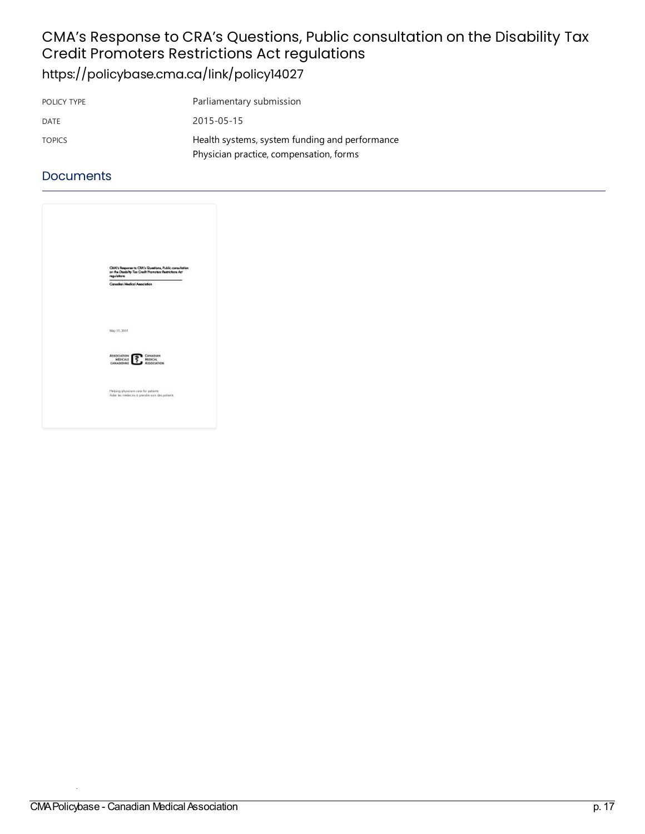# CMA's Response to CRA's Questions, Public consultation on the Disability Tax Credit Promoters Restrictions Act regulations

<https://policybase.cma.ca/link/policy14027>

| POLICY TYPE   | Parliamentary submission                       |
|---------------|------------------------------------------------|
| DATE          | 2015-05-15                                     |
| <b>TOPICS</b> | Health systems, system funding and performance |
|               | Physician practice, compensation, forms        |

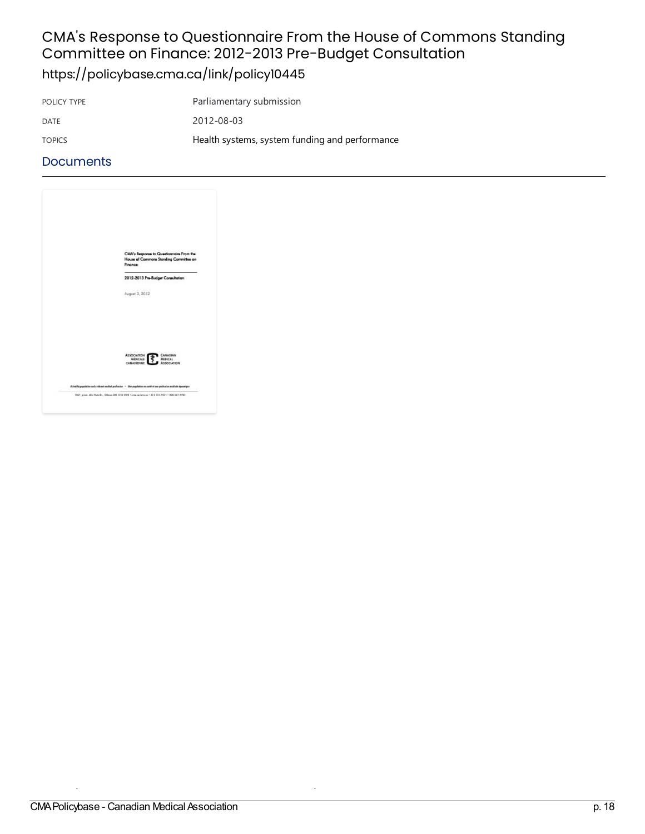# CMA's Response to Questionnaire From the House of Commons Standing Committee on Finance: 2012-2013 Pre-Budget Consultation

<https://policybase.cma.ca/link/policy10445>

| POLICY TYPE   | Parliamentary submission                       |
|---------------|------------------------------------------------|
| DATE          | 2012-08-03                                     |
| <b>TOPICS</b> | Health systems, system funding and performance |

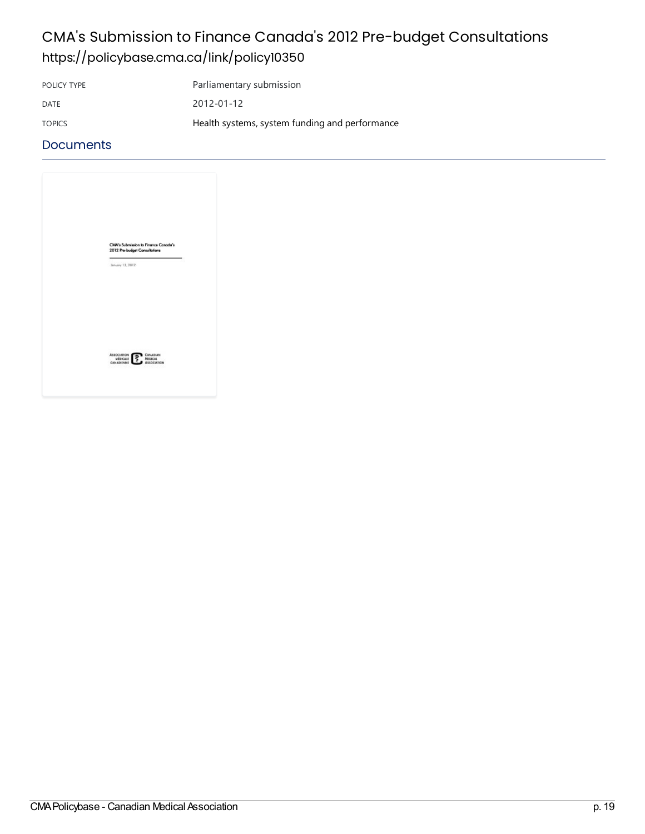## CMA's Submission to Finance Canada's 2012 Pre-budget Consultations <https://policybase.cma.ca/link/policy10350>

POLICY TYPE Parliamentary submission DATE 2012-01-12 TOPICS Health systems, system funding and [performance](https://policybase.cma.ca/list?q=topic%253A%2522Health%20systems,%20system%20funding%20and%20performance%2522&p=1&ps=&sort=title_sort%20asc)